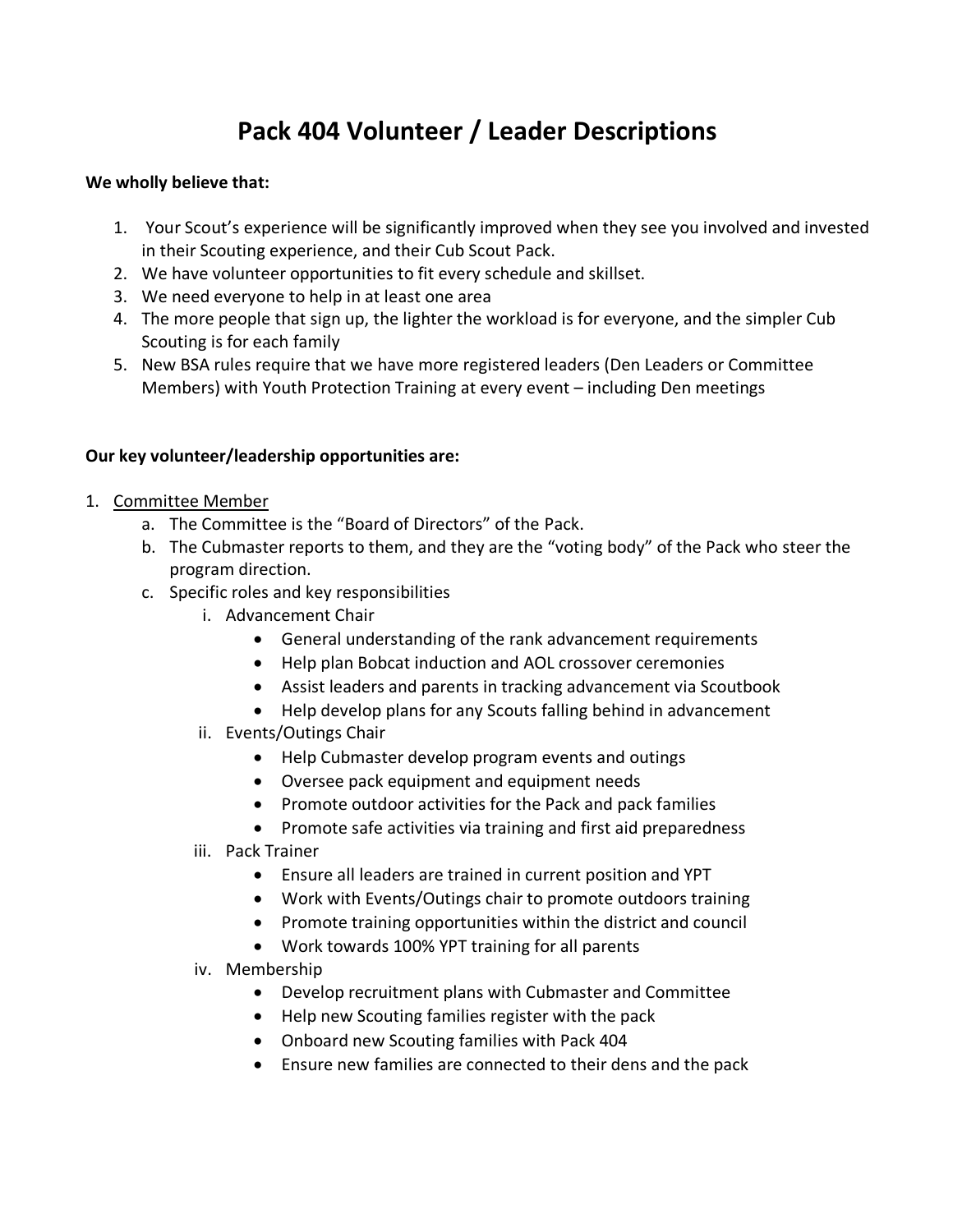## **Pack 404 Volunteer / Leader Descriptions**

## **We wholly believe that:**

- 1. Your Scout's experience will be significantly improved when they see you involved and invested in their Scouting experience, and their Cub Scout Pack.
- 2. We have volunteer opportunities to fit every schedule and skillset.
- 3. We need everyone to help in at least one area
- 4. The more people that sign up, the lighter the workload is for everyone, and the simpler Cub Scouting is for each family
- 5. New BSA rules require that we have more registered leaders (Den Leaders or Committee Members) with Youth Protection Training at every event – including Den meetings

## **Our key volunteer/leadership opportunities are:**

- 1. Committee Member
	- a. The Committee is the "Board of Directors" of the Pack.
	- b. The Cubmaster reports to them, and they are the "voting body" of the Pack who steer the program direction.
	- c. Specific roles and key responsibilities
		- i. Advancement Chair
			- General understanding of the rank advancement requirements
			- Help plan Bobcat induction and AOL crossover ceremonies
			- Assist leaders and parents in tracking advancement via Scoutbook
			- Help develop plans for any Scouts falling behind in advancement
		- ii. Events/Outings Chair
			- Help Cubmaster develop program events and outings
			- Oversee pack equipment and equipment needs
			- Promote outdoor activities for the Pack and pack families
			- Promote safe activities via training and first aid preparedness
		- iii. Pack Trainer
			- Ensure all leaders are trained in current position and YPT
			- Work with Events/Outings chair to promote outdoors training
			- Promote training opportunities within the district and council
			- Work towards 100% YPT training for all parents
		- iv. Membership
			- Develop recruitment plans with Cubmaster and Committee
			- Help new Scouting families register with the pack
			- Onboard new Scouting families with Pack 404
			- Ensure new families are connected to their dens and the pack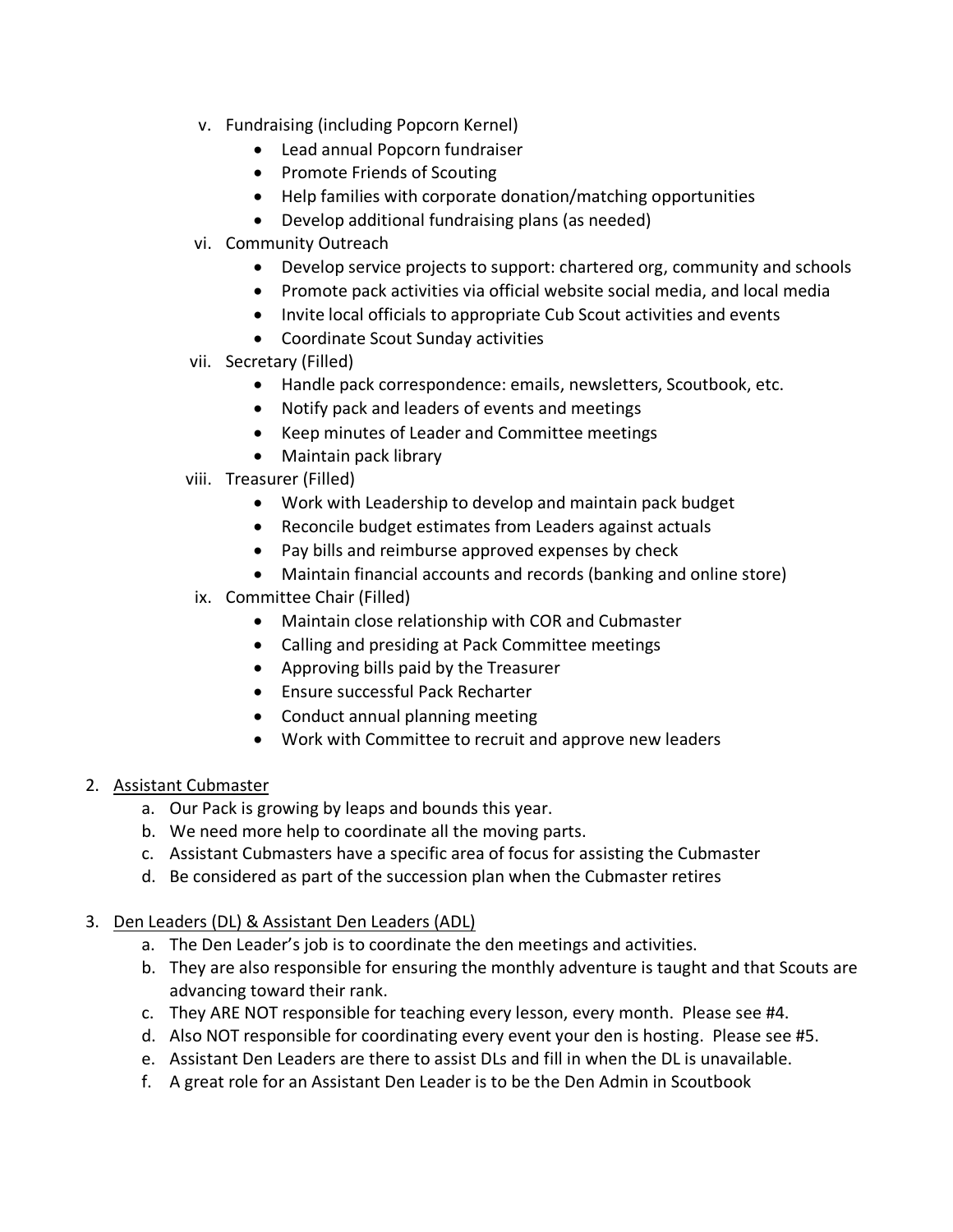- v. Fundraising (including Popcorn Kernel)
	- Lead annual Popcorn fundraiser
	- Promote Friends of Scouting
	- Help families with corporate donation/matching opportunities
	- Develop additional fundraising plans (as needed)
- vi. Community Outreach
	- Develop service projects to support: chartered org, community and schools
	- Promote pack activities via official website social media, and local media
	- Invite local officials to appropriate Cub Scout activities and events
	- Coordinate Scout Sunday activities
- vii. Secretary (Filled)
	- Handle pack correspondence: emails, newsletters, Scoutbook, etc.
	- Notify pack and leaders of events and meetings
	- Keep minutes of Leader and Committee meetings
	- Maintain pack library
- viii. Treasurer (Filled)
	- Work with Leadership to develop and maintain pack budget
	- Reconcile budget estimates from Leaders against actuals
	- Pay bills and reimburse approved expenses by check
	- Maintain financial accounts and records (banking and online store)
- ix. Committee Chair (Filled)
	- Maintain close relationship with COR and Cubmaster
	- Calling and presiding at Pack Committee meetings
	- Approving bills paid by the Treasurer
	- Ensure successful Pack Recharter
	- Conduct annual planning meeting
	- Work with Committee to recruit and approve new leaders

## 2. Assistant Cubmaster

- a. Our Pack is growing by leaps and bounds this year.
- b. We need more help to coordinate all the moving parts.
- c. Assistant Cubmasters have a specific area of focus for assisting the Cubmaster
- d. Be considered as part of the succession plan when the Cubmaster retires
- 3. Den Leaders (DL) & Assistant Den Leaders (ADL)
	- a. The Den Leader's job is to coordinate the den meetings and activities.
	- b. They are also responsible for ensuring the monthly adventure is taught and that Scouts are advancing toward their rank.
	- c. They ARE NOT responsible for teaching every lesson, every month. Please see #4.
	- d. Also NOT responsible for coordinating every event your den is hosting. Please see #5.
	- e. Assistant Den Leaders are there to assist DLs and fill in when the DL is unavailable.
	- f. A great role for an Assistant Den Leader is to be the Den Admin in Scoutbook